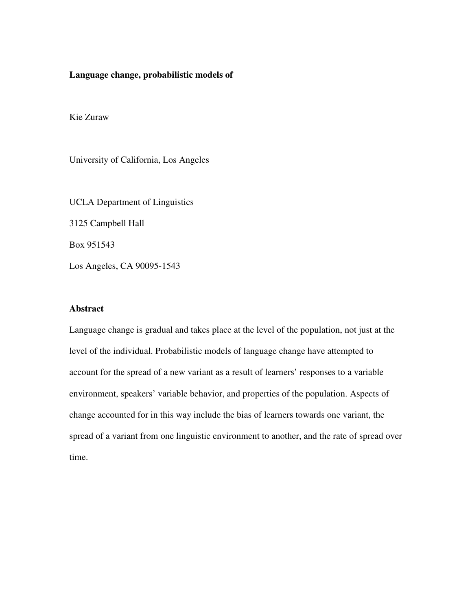## **Language change, probabilistic models of**

Kie Zuraw

University of California, Los Angeles

UCLA Department of Linguistics 3125 Campbell Hall Box 951543 Los Angeles, CA 90095-1543

## **Abstract**

Language change is gradual and takes place at the level of the population, not just at the level of the individual. Probabilistic models of language change have attempted to account for the spread of a new variant as a result of learners' responses to a variable environment, speakers' variable behavior, and properties of the population. Aspects of change accounted for in this way include the bias of learners towards one variant, the spread of a variant from one linguistic environment to another, and the rate of spread over time.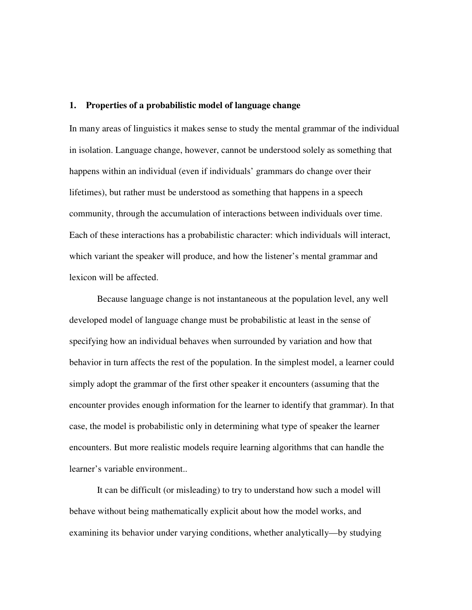## **1. Properties of a probabilistic model of language change**

In many areas of linguistics it makes sense to study the mental grammar of the individual in isolation. Language change, however, cannot be understood solely as something that happens within an individual (even if individuals' grammars do change over their lifetimes), but rather must be understood as something that happens in a speech community, through the accumulation of interactions between individuals over time. Each of these interactions has a probabilistic character: which individuals will interact, which variant the speaker will produce, and how the listener's mental grammar and lexicon will be affected.

 Because language change is not instantaneous at the population level, any well developed model of language change must be probabilistic at least in the sense of specifying how an individual behaves when surrounded by variation and how that behavior in turn affects the rest of the population. In the simplest model, a learner could simply adopt the grammar of the first other speaker it encounters (assuming that the encounter provides enough information for the learner to identify that grammar). In that case, the model is probabilistic only in determining what type of speaker the learner encounters. But more realistic models require learning algorithms that can handle the learner's variable environment..

 It can be difficult (or misleading) to try to understand how such a model will behave without being mathematically explicit about how the model works, and examining its behavior under varying conditions, whether analytically—by studying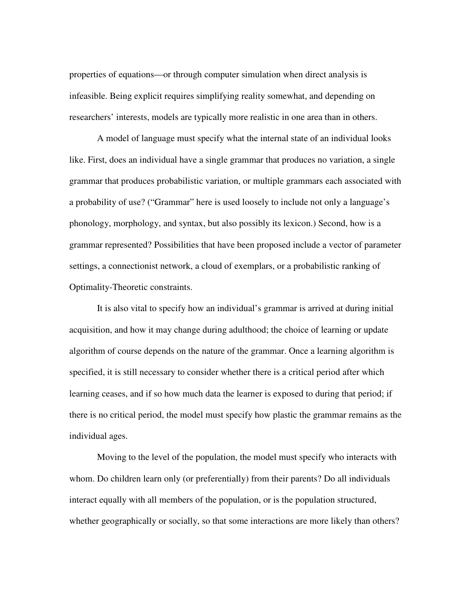properties of equations—or through computer simulation when direct analysis is infeasible. Being explicit requires simplifying reality somewhat, and depending on researchers' interests, models are typically more realistic in one area than in others.

 A model of language must specify what the internal state of an individual looks like. First, does an individual have a single grammar that produces no variation, a single grammar that produces probabilistic variation, or multiple grammars each associated with a probability of use? ("Grammar" here is used loosely to include not only a language's phonology, morphology, and syntax, but also possibly its lexicon.) Second, how is a grammar represented? Possibilities that have been proposed include a vector of parameter settings, a connectionist network, a cloud of exemplars, or a probabilistic ranking of Optimality-Theoretic constraints.

 It is also vital to specify how an individual's grammar is arrived at during initial acquisition, and how it may change during adulthood; the choice of learning or update algorithm of course depends on the nature of the grammar. Once a learning algorithm is specified, it is still necessary to consider whether there is a critical period after which learning ceases, and if so how much data the learner is exposed to during that period; if there is no critical period, the model must specify how plastic the grammar remains as the individual ages.

 Moving to the level of the population, the model must specify who interacts with whom. Do children learn only (or preferentially) from their parents? Do all individuals interact equally with all members of the population, or is the population structured, whether geographically or socially, so that some interactions are more likely than others?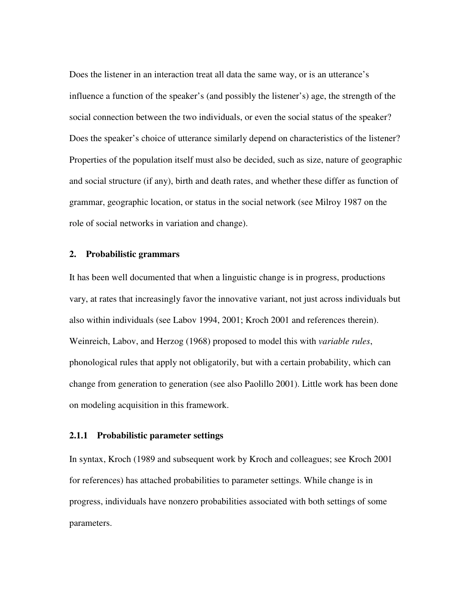Does the listener in an interaction treat all data the same way, or is an utterance's influence a function of the speaker's (and possibly the listener's) age, the strength of the social connection between the two individuals, or even the social status of the speaker? Does the speaker's choice of utterance similarly depend on characteristics of the listener? Properties of the population itself must also be decided, such as size, nature of geographic and social structure (if any), birth and death rates, and whether these differ as function of grammar, geographic location, or status in the social network (see Milroy 1987 on the role of social networks in variation and change).

## **2. Probabilistic grammars**

It has been well documented that when a linguistic change is in progress, productions vary, at rates that increasingly favor the innovative variant, not just across individuals but also within individuals (see Labov 1994, 2001; Kroch 2001 and references therein). Weinreich, Labov, and Herzog (1968) proposed to model this with *variable rules*, phonological rules that apply not obligatorily, but with a certain probability, which can change from generation to generation (see also Paolillo 2001). Little work has been done on modeling acquisition in this framework.

## **2.1.1 Probabilistic parameter settings**

In syntax, Kroch (1989 and subsequent work by Kroch and colleagues; see Kroch 2001 for references) has attached probabilities to parameter settings. While change is in progress, individuals have nonzero probabilities associated with both settings of some parameters.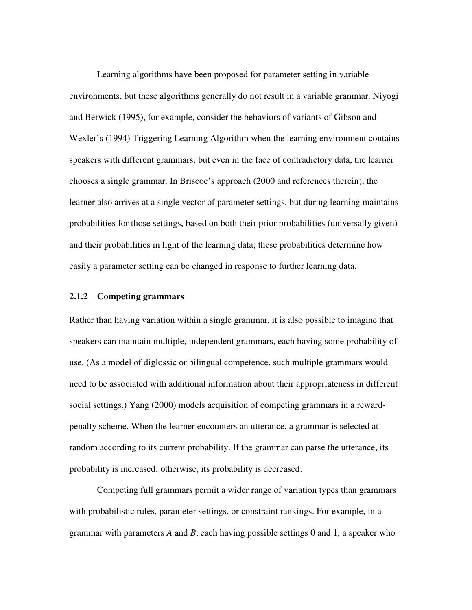Learning algorithms have been proposed for parameter setting in variable environments, but these algorithms generally do not result in a variable grammar. Niyogi and Berwick (1995), for example, consider the behaviors of variants of Gibson and Wexler's (1994) Triggering Learning Algorithm when the learning environment contains speakers with different grammars; but even in the face of contradictory data, the learner chooses a single grammar. In Briscoe's approach (2000 and references therein), the learner also arrives at a single vector of parameter settings, but during learning maintains probabilities for those settings, based on both their prior probabilities (universally given) and their probabilities in light of the learning data; these probabilities determine how easily a parameter setting can be changed in response to further learning data.

## **2.1.2 Competing grammars**

Rather than having variation within a single grammar, it is also possible to imagine that speakers can maintain multiple, independent grammars, each having some probability of use. (As a model of diglossic or bilingual competence, such multiple grammars would need to be associated with additional information about their appropriateness in different social settings.) Yang (2000) models acquisition of competing grammars in a rewardpenalty scheme. When the learner encounters an utterance, a grammar is selected at random according to its current probability. If the grammar can parse the utterance, its probability is increased; otherwise, its probability is decreased.

 Competing full grammars permit a wider range of variation types than grammars with probabilistic rules, parameter settings, or constraint rankings. For example, in a grammar with parameters *A* and *B*, each having possible settings 0 and 1, a speaker who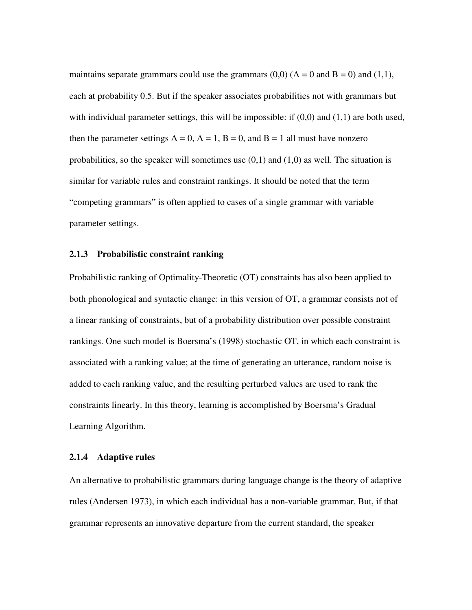maintains separate grammars could use the grammars  $(0,0)$   $(A = 0$  and  $B = 0)$  and  $(1,1)$ , each at probability 0.5. But if the speaker associates probabilities not with grammars but with individual parameter settings, this will be impossible: if  $(0,0)$  and  $(1,1)$  are both used, then the parameter settings  $A = 0$ ,  $A = 1$ ,  $B = 0$ , and  $B = 1$  all must have nonzero probabilities, so the speaker will sometimes use  $(0,1)$  and  $(1,0)$  as well. The situation is similar for variable rules and constraint rankings. It should be noted that the term "competing grammars" is often applied to cases of a single grammar with variable parameter settings.

## **2.1.3 Probabilistic constraint ranking**

Probabilistic ranking of Optimality-Theoretic (OT) constraints has also been applied to both phonological and syntactic change: in this version of OT, a grammar consists not of a linear ranking of constraints, but of a probability distribution over possible constraint rankings. One such model is Boersma's (1998) stochastic OT, in which each constraint is associated with a ranking value; at the time of generating an utterance, random noise is added to each ranking value, and the resulting perturbed values are used to rank the constraints linearly. In this theory, learning is accomplished by Boersma's Gradual Learning Algorithm.

## **2.1.4 Adaptive rules**

An alternative to probabilistic grammars during language change is the theory of adaptive rules (Andersen 1973), in which each individual has a non-variable grammar. But, if that grammar represents an innovative departure from the current standard, the speaker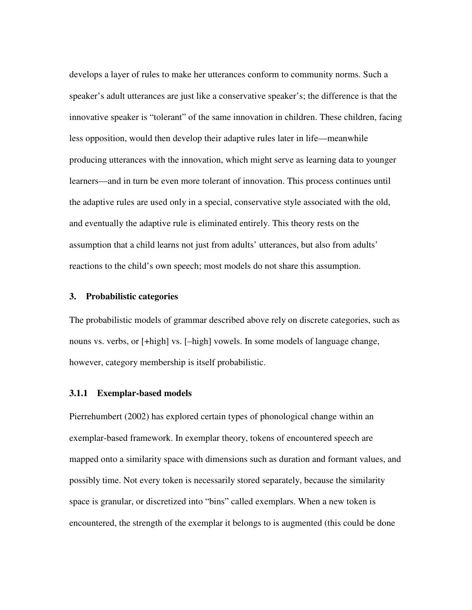develops a layer of rules to make her utterances conform to community norms. Such a speaker's adult utterances are just like a conservative speaker's; the difference is that the innovative speaker is "tolerant" of the same innovation in children. These children, facing less opposition, would then develop their adaptive rules later in life—meanwhile producing utterances with the innovation, which might serve as learning data to younger learners—and in turn be even more tolerant of innovation. This process continues until the adaptive rules are used only in a special, conservative style associated with the old, and eventually the adaptive rule is eliminated entirely. This theory rests on the assumption that a child learns not just from adults' utterances, but also from adults' reactions to the child's own speech; most models do not share this assumption.

## **3. Probabilistic categories**

The probabilistic models of grammar described above rely on discrete categories, such as nouns vs. verbs, or [+high] vs. [–high] vowels. In some models of language change, however, category membership is itself probabilistic.

#### **3.1.1 Exemplar-based models**

Pierrehumbert (2002) has explored certain types of phonological change within an exemplar-based framework. In exemplar theory, tokens of encountered speech are mapped onto a similarity space with dimensions such as duration and formant values, and possibly time. Not every token is necessarily stored separately, because the similarity space is granular, or discretized into "bins" called exemplars. When a new token is encountered, the strength of the exemplar it belongs to is augmented (this could be done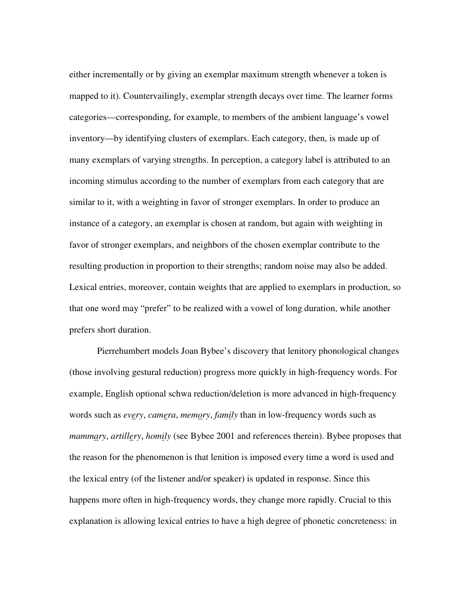either incrementally or by giving an exemplar maximum strength whenever a token is mapped to it). Countervailingly, exemplar strength decays over time. The learner forms categories—corresponding, for example, to members of the ambient language's vowel inventory—by identifying clusters of exemplars. Each category, then, is made up of many exemplars of varying strengths. In perception, a category label is attributed to an incoming stimulus according to the number of exemplars from each category that are similar to it, with a weighting in favor of stronger exemplars. In order to produce an instance of a category, an exemplar is chosen at random, but again with weighting in favor of stronger exemplars, and neighbors of the chosen exemplar contribute to the resulting production in proportion to their strengths; random noise may also be added. Lexical entries, moreover, contain weights that are applied to exemplars in production, so that one word may "prefer" to be realized with a vowel of long duration, while another prefers short duration.

 Pierrehumbert models Joan Bybee's discovery that lenitory phonological changes (those involving gestural reduction) progress more quickly in high-frequency words. For example, English optional schwa reduction/deletion is more advanced in high-frequency words such as *every*, *camera*, *memory*, *family* than in low-frequency words such as *mammary*, *artillery*, *homily* (see Bybee 2001 and references therein). Bybee proposes that the reason for the phenomenon is that lenition is imposed every time a word is used and the lexical entry (of the listener and/or speaker) is updated in response. Since this happens more often in high-frequency words, they change more rapidly. Crucial to this explanation is allowing lexical entries to have a high degree of phonetic concreteness: in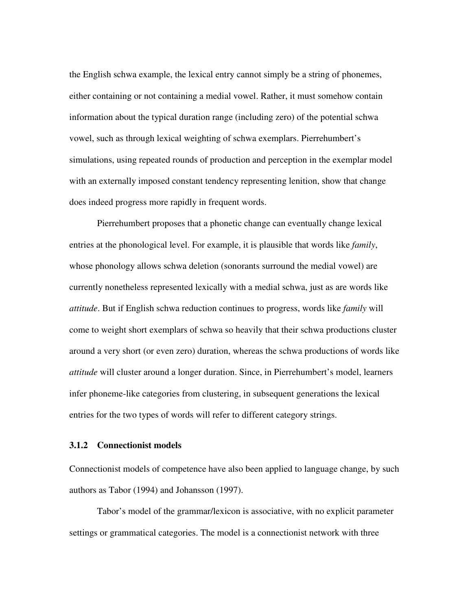the English schwa example, the lexical entry cannot simply be a string of phonemes, either containing or not containing a medial vowel. Rather, it must somehow contain information about the typical duration range (including zero) of the potential schwa vowel, such as through lexical weighting of schwa exemplars. Pierrehumbert's simulations, using repeated rounds of production and perception in the exemplar model with an externally imposed constant tendency representing lenition, show that change does indeed progress more rapidly in frequent words.

 Pierrehumbert proposes that a phonetic change can eventually change lexical entries at the phonological level. For example, it is plausible that words like *family*, whose phonology allows schwa deletion (sonorants surround the medial vowel) are currently nonetheless represented lexically with a medial schwa, just as are words like *attitude*. But if English schwa reduction continues to progress, words like *family* will come to weight short exemplars of schwa so heavily that their schwa productions cluster around a very short (or even zero) duration, whereas the schwa productions of words like *attitude* will cluster around a longer duration. Since, in Pierrehumbert's model, learners infer phoneme-like categories from clustering, in subsequent generations the lexical entries for the two types of words will refer to different category strings.

#### **3.1.2 Connectionist models**

Connectionist models of competence have also been applied to language change, by such authors as Tabor (1994) and Johansson (1997).

 Tabor's model of the grammar/lexicon is associative, with no explicit parameter settings or grammatical categories. The model is a connectionist network with three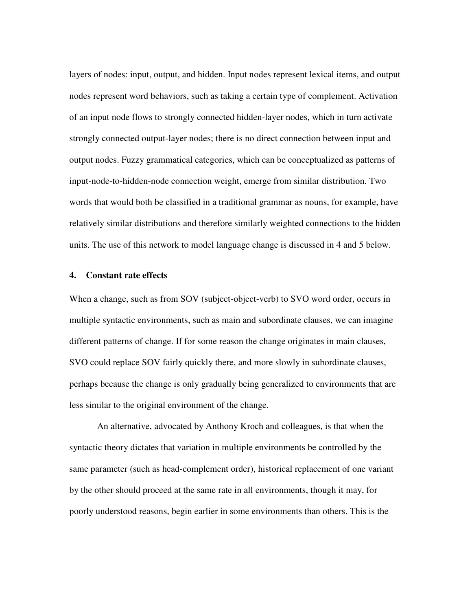layers of nodes: input, output, and hidden. Input nodes represent lexical items, and output nodes represent word behaviors, such as taking a certain type of complement. Activation of an input node flows to strongly connected hidden-layer nodes, which in turn activate strongly connected output-layer nodes; there is no direct connection between input and output nodes. Fuzzy grammatical categories, which can be conceptualized as patterns of input-node-to-hidden-node connection weight, emerge from similar distribution. Two words that would both be classified in a traditional grammar as nouns, for example, have relatively similar distributions and therefore similarly weighted connections to the hidden units. The use of this network to model language change is discussed in 4 and 5 below.

#### **4. Constant rate effects**

When a change, such as from SOV (subject-object-verb) to SVO word order, occurs in multiple syntactic environments, such as main and subordinate clauses, we can imagine different patterns of change. If for some reason the change originates in main clauses, SVO could replace SOV fairly quickly there, and more slowly in subordinate clauses, perhaps because the change is only gradually being generalized to environments that are less similar to the original environment of the change.

 An alternative, advocated by Anthony Kroch and colleagues, is that when the syntactic theory dictates that variation in multiple environments be controlled by the same parameter (such as head-complement order), historical replacement of one variant by the other should proceed at the same rate in all environments, though it may, for poorly understood reasons, begin earlier in some environments than others. This is the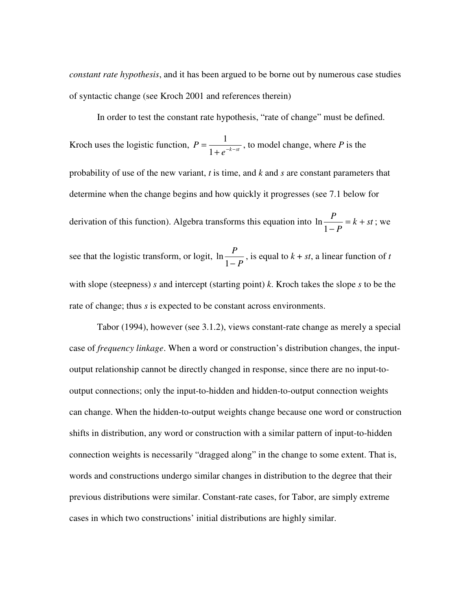*constant rate hypothesis*, and it has been argued to be borne out by numerous case studies of syntactic change (see Kroch 2001 and references therein)

 In order to test the constant rate hypothesis, "rate of change" must be defined. Kroch uses the logistic function,  $P = \frac{1}{1 + e^{-k - st}}$  $P = \frac{1}{1+e^{-k-1}}$ = 1  $\frac{1}{t^{k-ct}}$ , to model change, where *P* is the probability of use of the new variant, *t* is time, and *k* and *s* are constant parameters that determine when the change begins and how quickly it progresses (see 7.1 below for derivation of this function). Algebra transforms this equation into  $\ln \frac{1}{1} = k + st$ *P*  $\frac{P}{k+1} = k +$  $\ln \frac{1}{1-P} = k + st$ ; we see that the logistic transform, or logit, *P P*  $\ln \frac{1}{1-P}$ , is equal to  $k + st$ , a linear function of *t* with slope (steepness) *s* and intercept (starting point) *k*. Kroch takes the slope *s* to be the rate of change; thus *s* is expected to be constant across environments.

 Tabor (1994), however (see 3.1.2), views constant-rate change as merely a special case of *frequency linkage*. When a word or construction's distribution changes, the inputoutput relationship cannot be directly changed in response, since there are no input-tooutput connections; only the input-to-hidden and hidden-to-output connection weights can change. When the hidden-to-output weights change because one word or construction shifts in distribution, any word or construction with a similar pattern of input-to-hidden connection weights is necessarily "dragged along" in the change to some extent. That is, words and constructions undergo similar changes in distribution to the degree that their previous distributions were similar. Constant-rate cases, for Tabor, are simply extreme cases in which two constructions' initial distributions are highly similar.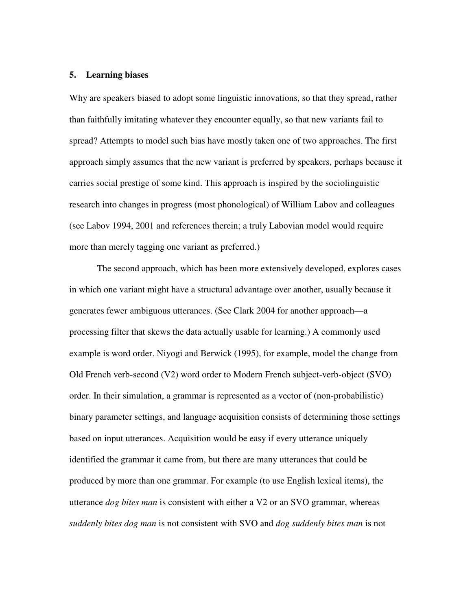#### **5. Learning biases**

Why are speakers biased to adopt some linguistic innovations, so that they spread, rather than faithfully imitating whatever they encounter equally, so that new variants fail to spread? Attempts to model such bias have mostly taken one of two approaches. The first approach simply assumes that the new variant is preferred by speakers, perhaps because it carries social prestige of some kind. This approach is inspired by the sociolinguistic research into changes in progress (most phonological) of William Labov and colleagues (see Labov 1994, 2001 and references therein; a truly Labovian model would require more than merely tagging one variant as preferred.)

 The second approach, which has been more extensively developed, explores cases in which one variant might have a structural advantage over another, usually because it generates fewer ambiguous utterances. (See Clark 2004 for another approach—a processing filter that skews the data actually usable for learning.) A commonly used example is word order. Niyogi and Berwick (1995), for example, model the change from Old French verb-second (V2) word order to Modern French subject-verb-object (SVO) order. In their simulation, a grammar is represented as a vector of (non-probabilistic) binary parameter settings, and language acquisition consists of determining those settings based on input utterances. Acquisition would be easy if every utterance uniquely identified the grammar it came from, but there are many utterances that could be produced by more than one grammar. For example (to use English lexical items), the utterance *dog bites man* is consistent with either a V2 or an SVO grammar, whereas *suddenly bites dog man* is not consistent with SVO and *dog suddenly bites man* is not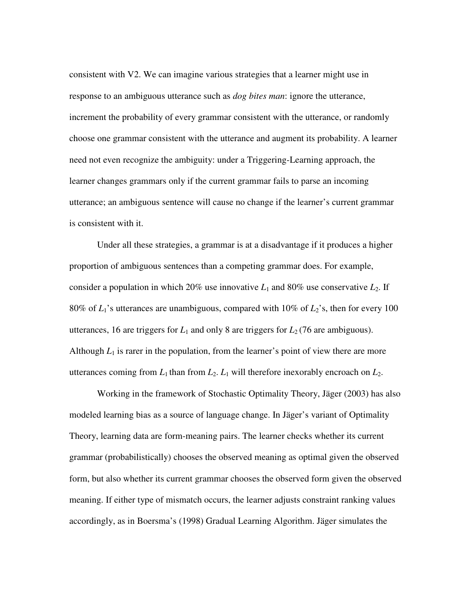consistent with V2. We can imagine various strategies that a learner might use in response to an ambiguous utterance such as *dog bites man*: ignore the utterance, increment the probability of every grammar consistent with the utterance, or randomly choose one grammar consistent with the utterance and augment its probability. A learner need not even recognize the ambiguity: under a Triggering-Learning approach, the learner changes grammars only if the current grammar fails to parse an incoming utterance; an ambiguous sentence will cause no change if the learner's current grammar is consistent with it.

 Under all these strategies, a grammar is at a disadvantage if it produces a higher proportion of ambiguous sentences than a competing grammar does. For example, consider a population in which 20% use innovative  $L_1$  and 80% use conservative  $L_2$ . If 80% of  $L_1$ 's utterances are unambiguous, compared with 10% of  $L_2$ 's, then for every 100 utterances, 16 are triggers for  $L_1$  and only 8 are triggers for  $L_2$  (76 are ambiguous). Although  $L_1$  is rarer in the population, from the learner's point of view there are more utterances coming from  $L_1$  than from  $L_2$ .  $L_1$  will therefore inexorably encroach on  $L_2$ .

 Working in the framework of Stochastic Optimality Theory, Jäger (2003) has also modeled learning bias as a source of language change. In Jäger's variant of Optimality Theory, learning data are form-meaning pairs. The learner checks whether its current grammar (probabilistically) chooses the observed meaning as optimal given the observed form, but also whether its current grammar chooses the observed form given the observed meaning. If either type of mismatch occurs, the learner adjusts constraint ranking values accordingly, as in Boersma's (1998) Gradual Learning Algorithm. Jäger simulates the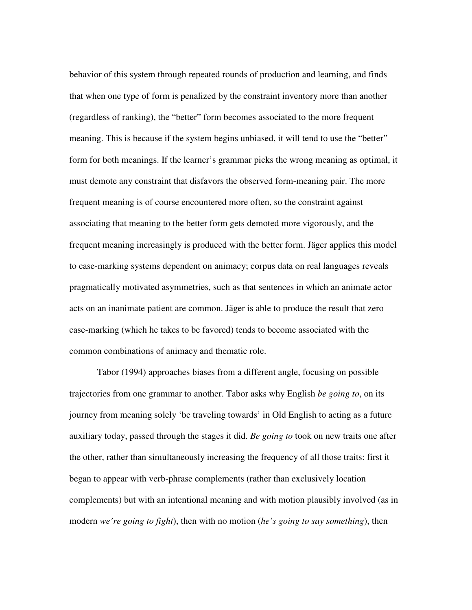behavior of this system through repeated rounds of production and learning, and finds that when one type of form is penalized by the constraint inventory more than another (regardless of ranking), the "better" form becomes associated to the more frequent meaning. This is because if the system begins unbiased, it will tend to use the "better" form for both meanings. If the learner's grammar picks the wrong meaning as optimal, it must demote any constraint that disfavors the observed form-meaning pair. The more frequent meaning is of course encountered more often, so the constraint against associating that meaning to the better form gets demoted more vigorously, and the frequent meaning increasingly is produced with the better form. Jäger applies this model to case-marking systems dependent on animacy; corpus data on real languages reveals pragmatically motivated asymmetries, such as that sentences in which an animate actor acts on an inanimate patient are common. Jäger is able to produce the result that zero case-marking (which he takes to be favored) tends to become associated with the common combinations of animacy and thematic role.

 Tabor (1994) approaches biases from a different angle, focusing on possible trajectories from one grammar to another. Tabor asks why English *be going to*, on its journey from meaning solely 'be traveling towards' in Old English to acting as a future auxiliary today, passed through the stages it did. *Be going to* took on new traits one after the other, rather than simultaneously increasing the frequency of all those traits: first it began to appear with verb-phrase complements (rather than exclusively location complements) but with an intentional meaning and with motion plausibly involved (as in modern *we're going to fight*), then with no motion (*he's going to say something*), then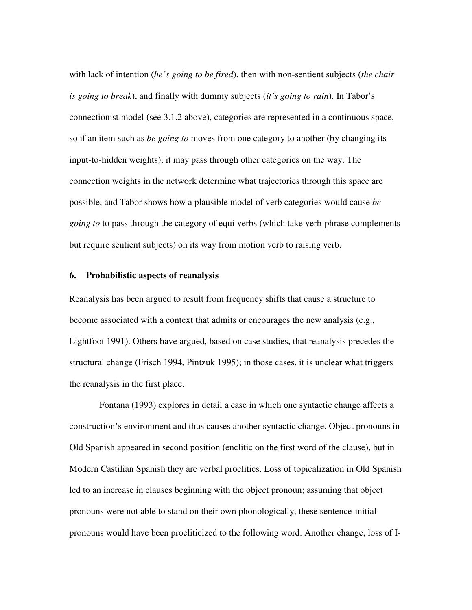with lack of intention (*he's going to be fired*), then with non-sentient subjects (*the chair is going to break*), and finally with dummy subjects (*it's going to rain*). In Tabor's connectionist model (see 3.1.2 above), categories are represented in a continuous space, so if an item such as *be going to* moves from one category to another (by changing its input-to-hidden weights), it may pass through other categories on the way. The connection weights in the network determine what trajectories through this space are possible, and Tabor shows how a plausible model of verb categories would cause *be going to* to pass through the category of equi verbs (which take verb-phrase complements but require sentient subjects) on its way from motion verb to raising verb.

#### **6. Probabilistic aspects of reanalysis**

Reanalysis has been argued to result from frequency shifts that cause a structure to become associated with a context that admits or encourages the new analysis (e.g., Lightfoot 1991). Others have argued, based on case studies, that reanalysis precedes the structural change (Frisch 1994, Pintzuk 1995); in those cases, it is unclear what triggers the reanalysis in the first place.

 Fontana (1993) explores in detail a case in which one syntactic change affects a construction's environment and thus causes another syntactic change. Object pronouns in Old Spanish appeared in second position (enclitic on the first word of the clause), but in Modern Castilian Spanish they are verbal proclitics. Loss of topicalization in Old Spanish led to an increase in clauses beginning with the object pronoun; assuming that object pronouns were not able to stand on their own phonologically, these sentence-initial pronouns would have been procliticized to the following word. Another change, loss of I-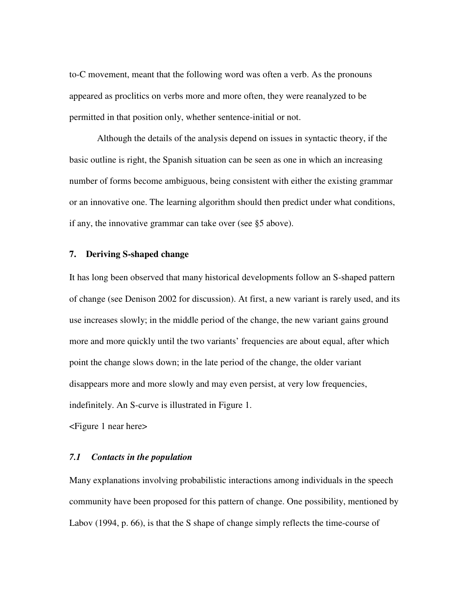to-C movement, meant that the following word was often a verb. As the pronouns appeared as proclitics on verbs more and more often, they were reanalyzed to be permitted in that position only, whether sentence-initial or not.

 Although the details of the analysis depend on issues in syntactic theory, if the basic outline is right, the Spanish situation can be seen as one in which an increasing number of forms become ambiguous, being consistent with either the existing grammar or an innovative one. The learning algorithm should then predict under what conditions, if any, the innovative grammar can take over (see §5 above).

## **7. Deriving S-shaped change**

It has long been observed that many historical developments follow an S-shaped pattern of change (see Denison 2002 for discussion). At first, a new variant is rarely used, and its use increases slowly; in the middle period of the change, the new variant gains ground more and more quickly until the two variants' frequencies are about equal, after which point the change slows down; in the late period of the change, the older variant disappears more and more slowly and may even persist, at very low frequencies, indefinitely. An S-curve is illustrated in Figure 1.

<Figure 1 near here>

## *7.1 Contacts in the population*

Many explanations involving probabilistic interactions among individuals in the speech community have been proposed for this pattern of change. One possibility, mentioned by Labov (1994, p. 66), is that the S shape of change simply reflects the time-course of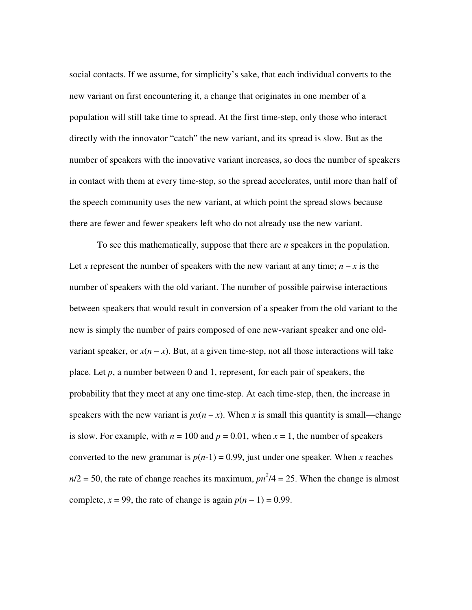social contacts. If we assume, for simplicity's sake, that each individual converts to the new variant on first encountering it, a change that originates in one member of a population will still take time to spread. At the first time-step, only those who interact directly with the innovator "catch" the new variant, and its spread is slow. But as the number of speakers with the innovative variant increases, so does the number of speakers in contact with them at every time-step, so the spread accelerates, until more than half of the speech community uses the new variant, at which point the spread slows because there are fewer and fewer speakers left who do not already use the new variant.

 To see this mathematically, suppose that there are *n* speakers in the population. Let *x* represent the number of speakers with the new variant at any time;  $n - x$  is the number of speakers with the old variant. The number of possible pairwise interactions between speakers that would result in conversion of a speaker from the old variant to the new is simply the number of pairs composed of one new-variant speaker and one oldvariant speaker, or  $x(n - x)$ . But, at a given time-step, not all those interactions will take place. Let *p*, a number between 0 and 1, represent, for each pair of speakers, the probability that they meet at any one time-step. At each time-step, then, the increase in speakers with the new variant is  $px(n - x)$ . When *x* is small this quantity is small—change is slow. For example, with  $n = 100$  and  $p = 0.01$ , when  $x = 1$ , the number of speakers converted to the new grammar is  $p(n-1) = 0.99$ , just under one speaker. When *x* reaches  $n/2 = 50$ , the rate of change reaches its maximum,  $pn^2/4 = 25$ . When the change is almost complete,  $x = 99$ , the rate of change is again  $p(n - 1) = 0.99$ .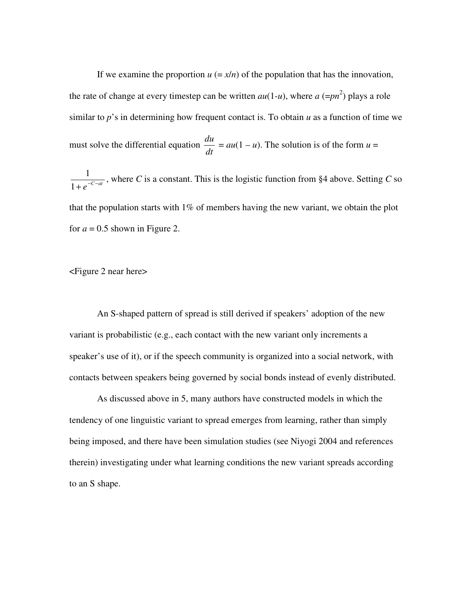If we examine the proportion  $u = x/n$  of the population that has the innovation, the rate of change at every timestep can be written  $au(1-u)$ , where  $a (=pn^2)$  plays a role similar to *p*'s in determining how frequent contact is. To obtain *u* as a function of time we must solve the differential equation *dt*  $\frac{du}{dt} = au(1 - u)$ . The solution is of the form  $u =$  $1+e^{-C-at}$  $\frac{1}{e^{-c}}$ , where *C* is a constant. This is the logistic function from §4 above. Setting *C* so that the population starts with  $1\%$  of members having the new variant, we obtain the plot for  $a = 0.5$  shown in Figure 2.

<Figure 2 near here>

 An S-shaped pattern of spread is still derived if speakers' adoption of the new variant is probabilistic (e.g., each contact with the new variant only increments a speaker's use of it), or if the speech community is organized into a social network, with contacts between speakers being governed by social bonds instead of evenly distributed.

As discussed above in 5, many authors have constructed models in which the tendency of one linguistic variant to spread emerges from learning, rather than simply being imposed, and there have been simulation studies (see Niyogi 2004 and references therein) investigating under what learning conditions the new variant spreads according to an S shape.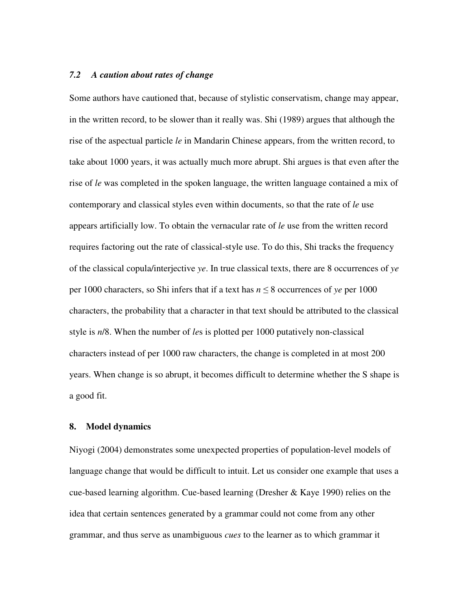#### *7.2 A caution about rates of change*

Some authors have cautioned that, because of stylistic conservatism, change may appear, in the written record, to be slower than it really was. Shi (1989) argues that although the rise of the aspectual particle *le* in Mandarin Chinese appears, from the written record, to take about 1000 years, it was actually much more abrupt. Shi argues is that even after the rise of *le* was completed in the spoken language, the written language contained a mix of contemporary and classical styles even within documents, so that the rate of *le* use appears artificially low. To obtain the vernacular rate of *le* use from the written record requires factoring out the rate of classical-style use. To do this, Shi tracks the frequency of the classical copula/interjective *ye*. In true classical texts, there are 8 occurrences of *ye* per 1000 characters, so Shi infers that if a text has  $n \leq 8$  occurrences of *ye* per 1000 characters, the probability that a character in that text should be attributed to the classical style is *n*/8. When the number of *le*s is plotted per 1000 putatively non-classical characters instead of per 1000 raw characters, the change is completed in at most 200 years. When change is so abrupt, it becomes difficult to determine whether the S shape is a good fit.

#### **8. Model dynamics**

Niyogi (2004) demonstrates some unexpected properties of population-level models of language change that would be difficult to intuit. Let us consider one example that uses a cue-based learning algorithm. Cue-based learning (Dresher & Kaye 1990) relies on the idea that certain sentences generated by a grammar could not come from any other grammar, and thus serve as unambiguous *cues* to the learner as to which grammar it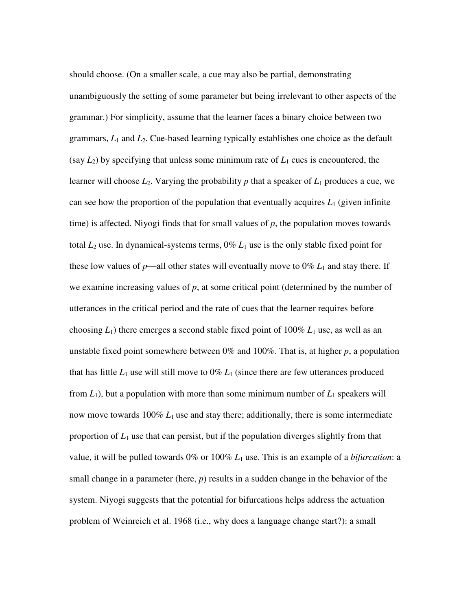should choose. (On a smaller scale, a cue may also be partial, demonstrating unambiguously the setting of some parameter but being irrelevant to other aspects of the grammar.) For simplicity, assume that the learner faces a binary choice between two grammars, *L*1 and *L*2. Cue-based learning typically establishes one choice as the default (say  $L_2$ ) by specifying that unless some minimum rate of  $L_1$  cues is encountered, the learner will choose  $L_2$ . Varying the probability p that a speaker of  $L_1$  produces a cue, we can see how the proportion of the population that eventually acquires  $L_1$  (given infinite time) is affected. Niyogi finds that for small values of  $p$ , the population moves towards total  $L_2$  use. In dynamical-systems terms,  $0\% L_1$  use is the only stable fixed point for these low values of  $p$ —all other states will eventually move to  $0\%$   $L_1$  and stay there. If we examine increasing values of *p*, at some critical point (determined by the number of utterances in the critical period and the rate of cues that the learner requires before choosing  $L_1$ ) there emerges a second stable fixed point of  $100\% L_1$  use, as well as an unstable fixed point somewhere between 0% and 100%. That is, at higher *p*, a population that has little  $L_1$  use will still move to  $0\% L_1$  (since there are few utterances produced from  $L_1$ ), but a population with more than some minimum number of  $L_1$  speakers will now move towards  $100\%$   $L_1$  use and stay there; additionally, there is some intermediate proportion of *L*1 use that can persist, but if the population diverges slightly from that value, it will be pulled towards 0% or 100% *L*1 use. This is an example of a *bifurcation*: a small change in a parameter (here,  $p$ ) results in a sudden change in the behavior of the system. Niyogi suggests that the potential for bifurcations helps address the actuation problem of Weinreich et al. 1968 (i.e., why does a language change start?): a small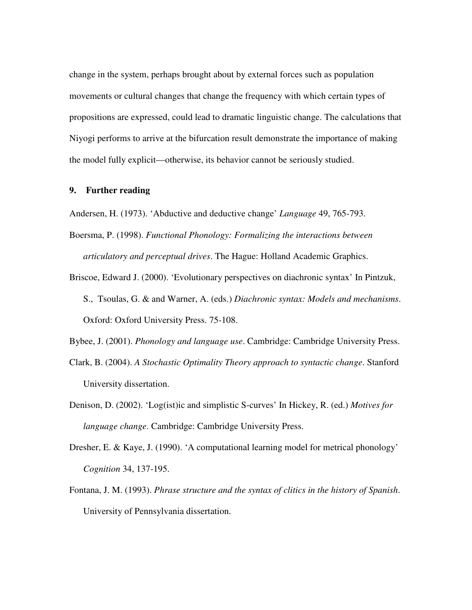change in the system, perhaps brought about by external forces such as population movements or cultural changes that change the frequency with which certain types of propositions are expressed, could lead to dramatic linguistic change. The calculations that Niyogi performs to arrive at the bifurcation result demonstrate the importance of making the model fully explicit—otherwise, its behavior cannot be seriously studied.

# **9. Further reading**

Andersen, H. (1973). 'Abductive and deductive change' *Language* 49, 765-793.

- Boersma, P. (1998). *Functional Phonology: Formalizing the interactions between articulatory and perceptual drives*. The Hague: Holland Academic Graphics.
- Briscoe, Edward J. (2000). 'Evolutionary perspectives on diachronic syntax' In Pintzuk, S., Tsoulas, G. & and Warner, A. (eds.) *Diachronic syntax: Models and mechanisms*. Oxford: Oxford University Press. 75-108.
- Bybee, J. (2001). *Phonology and language use*. Cambridge: Cambridge University Press.
- Clark, B. (2004). *A Stochastic Optimality Theory approach to syntactic change*. Stanford University dissertation.
- Denison, D. (2002). 'Log(ist)ic and simplistic S-curves' In Hickey, R. (ed.) *Motives for language change*. Cambridge: Cambridge University Press.
- Dresher, E. & Kaye, J. (1990). 'A computational learning model for metrical phonology' *Cognition* 34, 137-195.
- Fontana, J. M. (1993). *Phrase structure and the syntax of clitics in the history of Spanish*. University of Pennsylvania dissertation.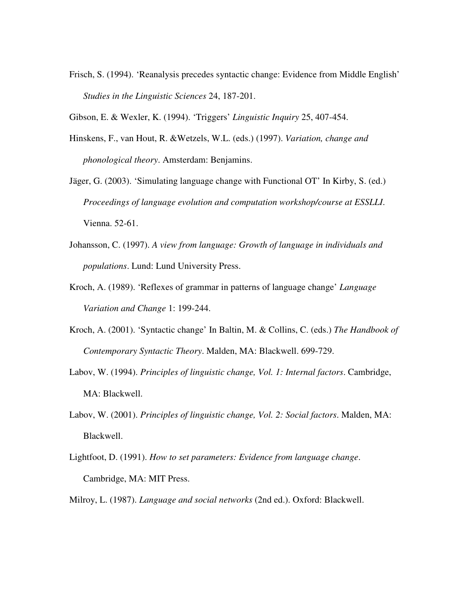- Frisch, S. (1994). 'Reanalysis precedes syntactic change: Evidence from Middle English' *Studies in the Linguistic Sciences* 24, 187-201.
- Gibson, E. & Wexler, K. (1994). 'Triggers' *Linguistic Inquiry* 25, 407-454.
- Hinskens, F., van Hout, R. &Wetzels, W.L. (eds.) (1997). *Variation, change and phonological theory*. Amsterdam: Benjamins.
- Jäger, G. (2003). 'Simulating language change with Functional OT' In Kirby, S. (ed.) *Proceedings of language evolution and computation workshop/course at ESSLLI*. Vienna. 52-61.
- Johansson, C. (1997). *A view from language: Growth of language in individuals and populations*. Lund: Lund University Press.
- Kroch, A. (1989). 'Reflexes of grammar in patterns of language change' *Language Variation and Change* 1: 199-244.
- Kroch, A. (2001). 'Syntactic change' In Baltin, M. & Collins, C. (eds.) *The Handbook of Contemporary Syntactic Theory*. Malden, MA: Blackwell. 699-729.
- Labov, W. (1994). *Principles of linguistic change, Vol. 1: Internal factors*. Cambridge, MA: Blackwell.
- Labov, W. (2001). *Principles of linguistic change, Vol. 2: Social factors*. Malden, MA: Blackwell.
- Lightfoot, D. (1991). *How to set parameters: Evidence from language change*. Cambridge, MA: MIT Press.
- Milroy, L. (1987). *Language and social networks* (2nd ed.). Oxford: Blackwell.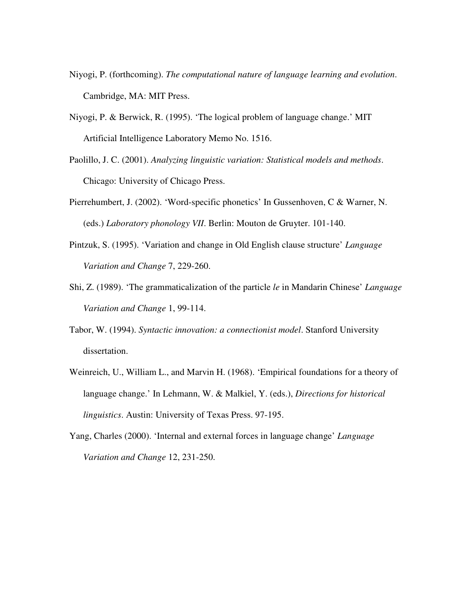- Niyogi, P. (forthcoming). *The computational nature of language learning and evolution*. Cambridge, MA: MIT Press.
- Niyogi, P. & Berwick, R. (1995). 'The logical problem of language change.' MIT Artificial Intelligence Laboratory Memo No. 1516.
- Paolillo, J. C. (2001). *Analyzing linguistic variation: Statistical models and methods*. Chicago: University of Chicago Press.
- Pierrehumbert, J. (2002). 'Word-specific phonetics' In Gussenhoven, C & Warner, N. (eds.) *Laboratory phonology VII*. Berlin: Mouton de Gruyter. 101-140.
- Pintzuk, S. (1995). 'Variation and change in Old English clause structure' *Language Variation and Change* 7, 229-260.
- Shi, Z. (1989). 'The grammaticalization of the particle *le* in Mandarin Chinese' *Language Variation and Change* 1, 99-114.
- Tabor, W. (1994). *Syntactic innovation: a connectionist model*. Stanford University dissertation.
- Weinreich, U., William L., and Marvin H. (1968). 'Empirical foundations for a theory of language change.' In Lehmann, W. & Malkiel, Y. (eds.), *Directions for historical linguistics*. Austin: University of Texas Press. 97-195.
- Yang, Charles (2000). 'Internal and external forces in language change' *Language Variation and Change* 12, 231-250.